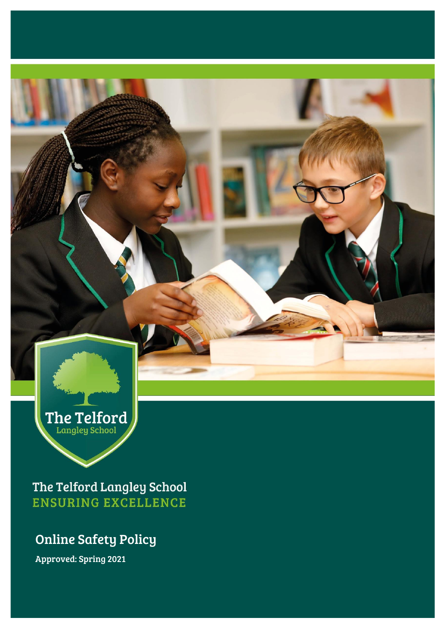The Telford

The Telford Langley School **ENSURING EXCELLENCE** 

# Online Safety Policy

Approved: Spring 2021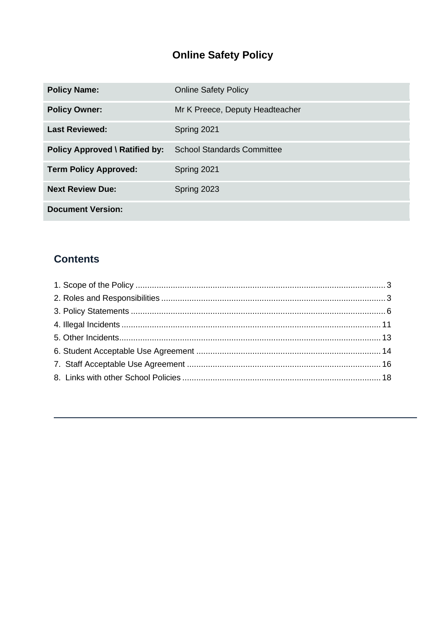## **Online Safety Policy**

| <b>Policy Name:</b>                   | <b>Online Safety Policy</b>       |
|---------------------------------------|-----------------------------------|
| <b>Policy Owner:</b>                  | Mr K Preece, Deputy Headteacher   |
| <b>Last Reviewed:</b>                 | Spring 2021                       |
| <b>Policy Approved \ Ratified by:</b> | <b>School Standards Committee</b> |
| <b>Term Policy Approved:</b>          | Spring 2021                       |
| <b>Next Review Due:</b>               | Spring 2023                       |
| <b>Document Version:</b>              |                                   |

## **Contents**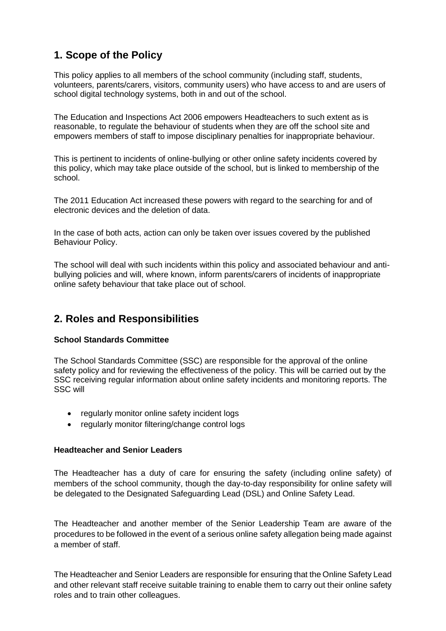## <span id="page-2-0"></span>**1. Scope of the Policy**

This policy applies to all members of the school community (including staff, students, volunteers, parents/carers, visitors, community users) who have access to and are users of school digital technology systems, both in and out of the school.

The Education and Inspections Act 2006 empowers Headteachers to such extent as is reasonable, to regulate the behaviour of students when they are off the school site and empowers members of staff to impose disciplinary penalties for inappropriate behaviour.

This is pertinent to incidents of online-bullying or other online safety incidents covered by this policy, which may take place outside of the school, but is linked to membership of the school.

The 2011 Education Act increased these powers with regard to the searching for and of electronic devices and the deletion of data.

In the case of both acts, action can only be taken over issues covered by the published Behaviour Policy.

The school will deal with such incidents within this policy and associated behaviour and antibullying policies and will, where known, inform parents/carers of incidents of inappropriate online safety behaviour that take place out of school.

## <span id="page-2-1"></span>**2. Roles and Responsibilities**

#### **School Standards Committee**

The School Standards Committee (SSC) are responsible for the approval of the online safety policy and for reviewing the effectiveness of the policy. This will be carried out by the SSC receiving regular information about online safety incidents and monitoring reports. The SSC will

- regularly monitor online safety incident logs
- regularly monitor filtering/change control logs

#### **Headteacher and Senior Leaders**

The Headteacher has a duty of care for ensuring the safety (including online safety) of members of the school community, though the day-to-day responsibility for online safety will be delegated to the Designated Safeguarding Lead (DSL) and Online Safety Lead.

The Headteacher and another member of the Senior Leadership Team are aware of the procedures to be followed in the event of a serious online safety allegation being made against a member of staff.

The Headteacher and Senior Leaders are responsible for ensuring that the Online Safety Lead and other relevant staff receive suitable training to enable them to carry out their online safety roles and to train other colleagues.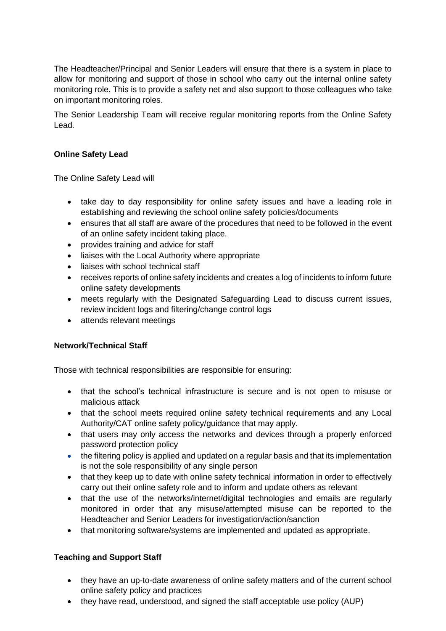The Headteacher/Principal and Senior Leaders will ensure that there is a system in place to allow for monitoring and support of those in school who carry out the internal online safety monitoring role. This is to provide a safety net and also support to those colleagues who take on important monitoring roles.

The Senior Leadership Team will receive regular monitoring reports from the Online Safety Lead.

#### **Online Safety Lead**

The Online Safety Lead will

- take day to day responsibility for online safety issues and have a leading role in establishing and reviewing the school online safety policies/documents
- ensures that all staff are aware of the procedures that need to be followed in the event of an online safety incident taking place.
- provides training and advice for staff
- liaises with the Local Authority where appropriate
- liaises with school technical staff
- receives reports of online safety incidents and creates a log of incidents to inform future online safety developments
- meets regularly with the Designated Safeguarding Lead to discuss current issues, review incident logs and filtering/change control logs
- attends relevant meetings

#### **Network/Technical Staff**

Those with technical responsibilities are responsible for ensuring:

- that the school's technical infrastructure is secure and is not open to misuse or malicious attack
- that the school meets required online safety technical requirements and any Local Authority/CAT online safety policy/guidance that may apply.
- that users may only access the networks and devices through a properly enforced password protection policy
- the filtering policy is applied and updated on a regular basis and that its implementation is not the sole responsibility of any single person
- that they keep up to date with online safety technical information in order to effectively carry out their online safety role and to inform and update others as relevant
- that the use of the networks/internet/digital technologies and emails are regularly monitored in order that any misuse/attempted misuse can be reported to the Headteacher and Senior Leaders for investigation/action/sanction
- that monitoring software/systems are implemented and updated as appropriate.

#### **Teaching and Support Staff**

- they have an up-to-date awareness of online safety matters and of the current school online safety policy and practices
- they have read, understood, and signed the staff acceptable use policy (AUP)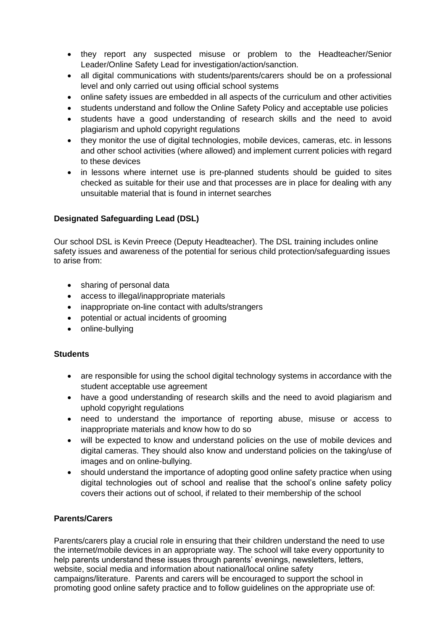- they report any suspected misuse or problem to the Headteacher/Senior Leader/Online Safety Lead for investigation/action/sanction.
- all digital communications with students/parents/carers should be on a professional level and only carried out using official school systems
- online safety issues are embedded in all aspects of the curriculum and other activities
- students understand and follow the Online Safety Policy and acceptable use policies
- students have a good understanding of research skills and the need to avoid plagiarism and uphold copyright regulations
- they monitor the use of digital technologies, mobile devices, cameras, etc. in lessons and other school activities (where allowed) and implement current policies with regard to these devices
- in lessons where internet use is pre-planned students should be guided to sites checked as suitable for their use and that processes are in place for dealing with any unsuitable material that is found in internet searches

#### **Designated Safeguarding Lead (DSL)**

Our school DSL is Kevin Preece (Deputy Headteacher). The DSL training includes online safety issues and awareness of the potential for serious child protection/safeguarding issues to arise from:

- sharing of personal data
- access to illegal/inappropriate materials
- inappropriate on-line contact with adults/strangers
- potential or actual incidents of grooming
- online-bullying

#### **Students**

- are responsible for using the school digital technology systems in accordance with the student acceptable use agreement
- have a good understanding of research skills and the need to avoid plagiarism and uphold copyright regulations
- need to understand the importance of reporting abuse, misuse or access to inappropriate materials and know how to do so
- will be expected to know and understand policies on the use of mobile devices and digital cameras. They should also know and understand policies on the taking/use of images and on online-bullying.
- should understand the importance of adopting good online safety practice when using digital technologies out of school and realise that the school's online safety policy covers their actions out of school, if related to their membership of the school

#### **Parents/Carers**

Parents/carers play a crucial role in ensuring that their children understand the need to use the internet/mobile devices in an appropriate way. The school will take every opportunity to help parents understand these issues through parents' evenings, newsletters, letters, website, social media and information about national/local online safety campaigns/literature. Parents and carers will be encouraged to support the school in promoting good online safety practice and to follow guidelines on the appropriate use of: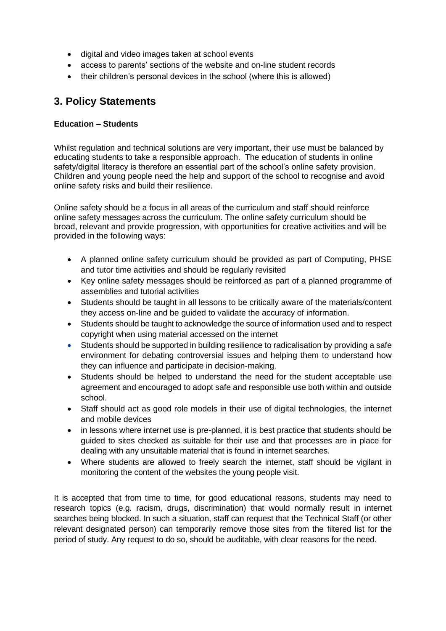- digital and video images taken at school events
- access to parents' sections of the website and on-line student records
- their children's personal devices in the school (where this is allowed)

## <span id="page-5-0"></span>**3. Policy Statements**

#### **Education – Students**

Whilst regulation and technical solutions are very important, their use must be balanced by educating students to take a responsible approach. The education of students in online safety/digital literacy is therefore an essential part of the school's online safety provision. Children and young people need the help and support of the school to recognise and avoid online safety risks and build their resilience.

Online safety should be a focus in all areas of the curriculum and staff should reinforce online safety messages across the curriculum. The online safety curriculum should be broad, relevant and provide progression, with opportunities for creative activities and will be provided in the following ways:

- A planned online safety curriculum should be provided as part of Computing, PHSE and tutor time activities and should be regularly revisited
- Key online safety messages should be reinforced as part of a planned programme of assemblies and tutorial activities
- Students should be taught in all lessons to be critically aware of the materials/content they access on-line and be guided to validate the accuracy of information.
- Students should be taught to acknowledge the source of information used and to respect copyright when using material accessed on the internet
- Students should be supported in building resilience to radicalisation by providing a safe environment for debating controversial issues and helping them to understand how they can influence and participate in decision-making.
- Students should be helped to understand the need for the student acceptable use agreement and encouraged to adopt safe and responsible use both within and outside school.
- Staff should act as good role models in their use of digital technologies, the internet and mobile devices
- in lessons where internet use is pre-planned, it is best practice that students should be guided to sites checked as suitable for their use and that processes are in place for dealing with any unsuitable material that is found in internet searches.
- Where students are allowed to freely search the internet, staff should be vigilant in monitoring the content of the websites the young people visit.

It is accepted that from time to time, for good educational reasons, students may need to research topics (e.g. racism, drugs, discrimination) that would normally result in internet searches being blocked. In such a situation, staff can request that the Technical Staff (or other relevant designated person) can temporarily remove those sites from the filtered list for the period of study. Any request to do so, should be auditable, with clear reasons for the need.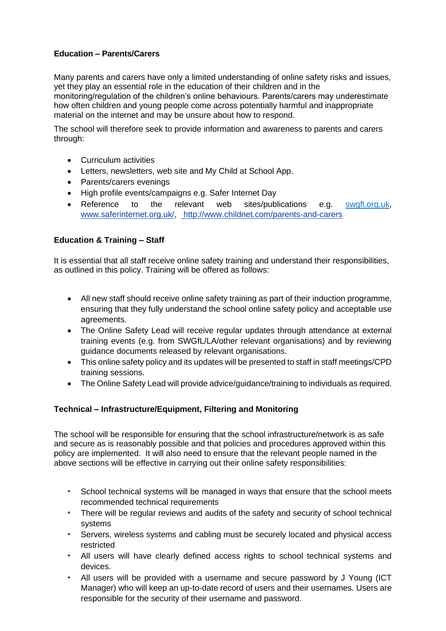#### **Education – Parents/Carers**

Many parents and carers have only a limited understanding of online safety risks and issues, yet they play an essential role in the education of their children and in the monitoring/regulation of the children's online behaviours. Parents/carers may underestimate how often children and young people come across potentially harmful and inappropriate material on the internet and may be unsure about how to respond.

The school will therefore seek to provide information and awareness to parents and carers through:

- Curriculum activities
- Letters, newsletters, web site and My Child at School App.
- Parents/carers evenings
- High profile events/campaigns e.g. Safer Internet Day
- Reference to the relevant web sites/publications e.g. [swgfl.org.uk,](http://swgfl.org.uk/) [www.saferinternet.org.uk/,](http://www.saferinternet.org.uk/) <http://www.childnet.com/parents-and-carers>

#### **Education & Training – Staff**

It is essential that all staff receive online safety training and understand their responsibilities, as outlined in this policy. Training will be offered as follows:

- All new staff should receive online safety training as part of their induction programme, ensuring that they fully understand the school online safety policy and acceptable use agreements.
- The Online Safety Lead will receive regular updates through attendance at external training events (e.g. from SWGfL/LA/other relevant organisations) and by reviewing guidance documents released by relevant organisations.
- This online safety policy and its updates will be presented to staff in staff meetings/CPD training sessions.
- The Online Safety Lead will provide advice/guidance/training to individuals as required.

#### **Technical – Infrastructure/Equipment, Filtering and Monitoring**

The school will be responsible for ensuring that the school infrastructure/network is as safe and secure as is reasonably possible and that policies and procedures approved within this policy are implemented. It will also need to ensure that the relevant people named in the above sections will be effective in carrying out their online safety responsibilities:

- *•* School technical systems will be managed in ways that ensure that the school meets recommended technical requirements
- *•* There will be regular reviews and audits of the safety and security of school technical systems
- *•* Servers, wireless systems and cabling must be securely located and physical access restricted
- *•* All users will have clearly defined access rights to school technical systems and devices.
- *•* All users will be provided with a username and secure password by J Young (ICT Manager) who will keep an up-to-date record of users and their usernames. Users are responsible for the security of their username and password.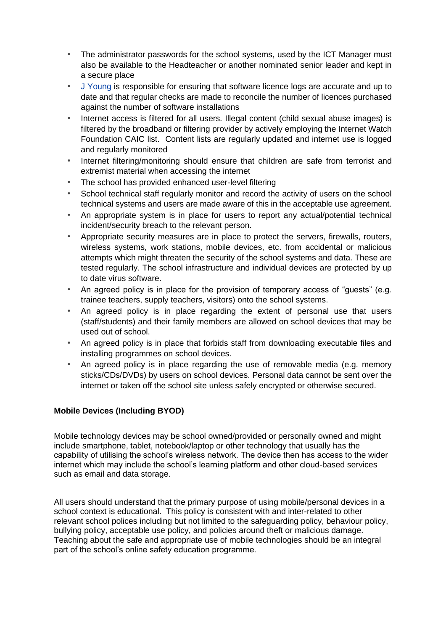- *•* The administrator passwords for the school systems, used by the ICT Manager must also be available to the Headteacher or another nominated senior leader and kept in a secure place
- *•* J Young is responsible for ensuring that software licence logs are accurate and up to date and that regular checks are made to reconcile the number of licences purchased against the number of software installations
- *•* Internet access is filtered for all users. Illegal content (child sexual abuse images) is filtered by the broadband or filtering provider by actively employing the Internet Watch Foundation CAIC list. Content lists are regularly updated and internet use is logged and regularly monitored
- *•* Internet filtering/monitoring should ensure that children are safe from terrorist and extremist material when accessing the internet
- *•* The school has provided enhanced user-level filtering
- School technical staff regularly monitor and record the activity of users on the school technical systems and users are made aware of this in the acceptable use agreement.
- *•* An appropriate system is in place for users to report any actual/potential technical incident/security breach to the relevant person.
- *•* Appropriate security measures are in place to protect the servers, firewalls, routers, wireless systems, work stations, mobile devices, etc. from accidental or malicious attempts which might threaten the security of the school systems and data. These are tested regularly. The school infrastructure and individual devices are protected by up to date virus software.
- *•* An agreed policy is in place for the provision of temporary access of "guests" (e.g. trainee teachers, supply teachers, visitors) onto the school systems.
- *•* An agreed policy is in place regarding the extent of personal use that users (staff/students) and their family members are allowed on school devices that may be used out of school.
- *•* An agreed policy is in place that forbids staff from downloading executable files and installing programmes on school devices.
- *•* An agreed policy is in place regarding the use of removable media (e.g. memory sticks/CDs/DVDs) by users on school devices. Personal data cannot be sent over the internet or taken off the school site unless safely encrypted or otherwise secured.

#### **Mobile Devices (Including BYOD)**

Mobile technology devices may be school owned/provided or personally owned and might include smartphone, tablet, notebook/laptop or other technology that usually has the capability of utilising the school's wireless network. The device then has access to the wider internet which may include the school's learning platform and other cloud-based services such as email and data storage.

All users should understand that the primary purpose of using mobile/personal devices in a school context is educational. This policy is consistent with and inter-related to other relevant school polices including but not limited to the safeguarding policy, behaviour policy, bullying policy, acceptable use policy, and policies around theft or malicious damage. Teaching about the safe and appropriate use of mobile technologies should be an integral part of the school's online safety education programme.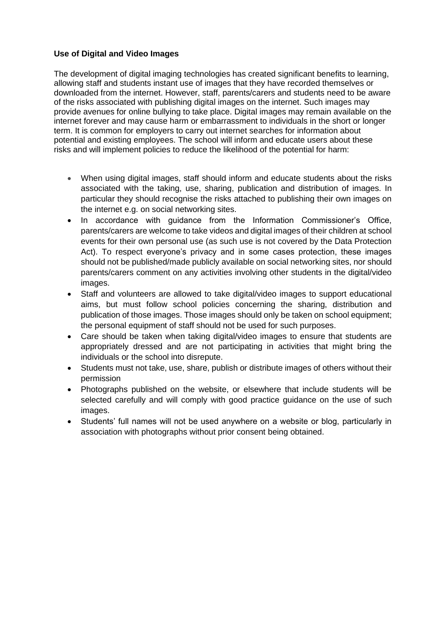#### **Use of Digital and Video Images**

The development of digital imaging technologies has created significant benefits to learning. allowing staff and students instant use of images that they have recorded themselves or downloaded from the internet. However, staff, parents/carers and students need to be aware of the risks associated with publishing digital images on the internet. Such images may provide avenues for online bullying to take place. Digital images may remain available on the internet forever and may cause harm or embarrassment to individuals in the short or longer term. It is common for employers to carry out internet searches for information about potential and existing employees. The school will inform and educate users about these risks and will implement policies to reduce the likelihood of the potential for harm:

- When using digital images, staff should inform and educate students about the risks associated with the taking, use, sharing, publication and distribution of images. In particular they should recognise the risks attached to publishing their own images on the internet e.g. on social networking sites.
- In accordance with guidance from the Information Commissioner's Office, parents/carers are welcome to take videos and digital images of their children at school events for their own personal use (as such use is not covered by the Data Protection Act). To respect everyone's privacy and in some cases protection, these images should not be published/made publicly available on social networking sites, nor should parents/carers comment on any activities involving other students in the digital/video images.
- Staff and volunteers are allowed to take digital/video images to support educational aims, but must follow school policies concerning the sharing, distribution and publication of those images. Those images should only be taken on school equipment; the personal equipment of staff should not be used for such purposes.
- Care should be taken when taking digital/video images to ensure that students are appropriately dressed and are not participating in activities that might bring the individuals or the school into disrepute.
- Students must not take, use, share, publish or distribute images of others without their permission
- Photographs published on the website, or elsewhere that include students will be selected carefully and will comply with good practice guidance on the use of such images.
- Students' full names will not be used anywhere on a website or blog, particularly in association with photographs without prior consent being obtained.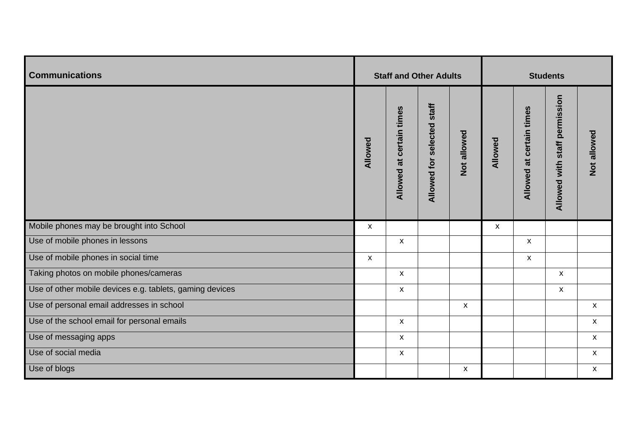| <b>Communications</b>                                    | <b>Staff and Other Adults</b> |                          |                               | <b>Students</b>    |                    |                          |                               |                           |
|----------------------------------------------------------|-------------------------------|--------------------------|-------------------------------|--------------------|--------------------|--------------------------|-------------------------------|---------------------------|
|                                                          | Allowed                       | Allowed at certain times | staff<br>Allowed for selected | Not allowed        | Allowed            | Allowed at certain times | Allowed with staff permission | Not allowed               |
| Mobile phones may be brought into School                 | $\pmb{\mathsf{X}}$            |                          |                               |                    | $\pmb{\mathsf{X}}$ |                          |                               |                           |
| Use of mobile phones in lessons                          |                               | $\pmb{\mathsf{X}}$       |                               |                    |                    | $\pmb{\mathsf{X}}$       |                               |                           |
| Use of mobile phones in social time                      | $\pmb{\mathsf{X}}$            |                          |                               |                    |                    | $\pmb{\mathsf{X}}$       |                               |                           |
| Taking photos on mobile phones/cameras                   |                               | X                        |                               |                    |                    |                          | $\boldsymbol{\mathsf{X}}$     |                           |
| Use of other mobile devices e.g. tablets, gaming devices |                               | X                        |                               |                    |                    |                          | $\mathsf{x}$                  |                           |
| Use of personal email addresses in school                |                               |                          |                               | $\pmb{\mathsf{x}}$ |                    |                          |                               | $\pmb{\mathsf{X}}$        |
| Use of the school email for personal emails              |                               | $\pmb{\mathsf{X}}$       |                               |                    |                    |                          |                               | $\mathsf{X}$              |
| Use of messaging apps                                    |                               | $\mathsf X$              |                               |                    |                    |                          |                               | $\boldsymbol{\mathsf{X}}$ |
| Use of social media                                      |                               | $\pmb{\mathsf{x}}$       |                               |                    |                    |                          |                               | $\pmb{\mathsf{X}}$        |
| Use of blogs                                             |                               |                          |                               | $\pmb{\mathsf{x}}$ |                    |                          |                               | $\pmb{\mathsf{X}}$        |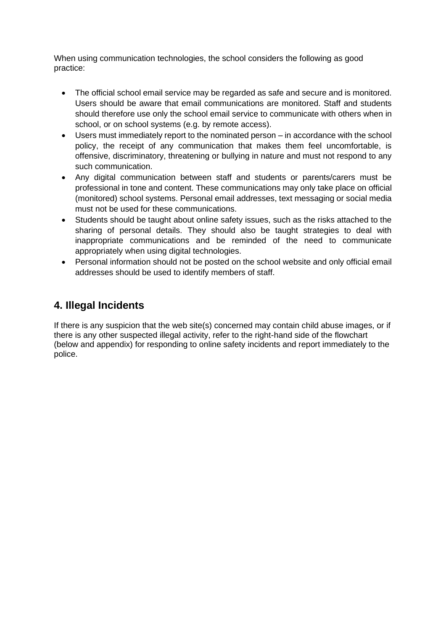When using communication technologies, the school considers the following as good practice:

- The official school email service may be regarded as safe and secure and is monitored. Users should be aware that email communications are monitored. Staff and students should therefore use only the school email service to communicate with others when in school, or on school systems (e.g. by remote access).
- Users must immediately report to the nominated person in accordance with the school policy, the receipt of any communication that makes them feel uncomfortable, is offensive, discriminatory, threatening or bullying in nature and must not respond to any such communication.
- Any digital communication between staff and students or parents/carers must be professional in tone and content. These communications may only take place on official (monitored) school systems. Personal email addresses, text messaging or social media must not be used for these communications.
- Students should be taught about online safety issues, such as the risks attached to the sharing of personal details. They should also be taught strategies to deal with inappropriate communications and be reminded of the need to communicate appropriately when using digital technologies.
- Personal information should not be posted on the school website and only official email addresses should be used to identify members of staff.

## <span id="page-10-0"></span>**4. Illegal Incidents**

If there is any suspicion that the web site(s) concerned may contain child abuse images, or if there is any other suspected illegal activity, refer to the right-hand side of the flowchart (below and appendix) for responding to online safety incidents and report immediately to the police.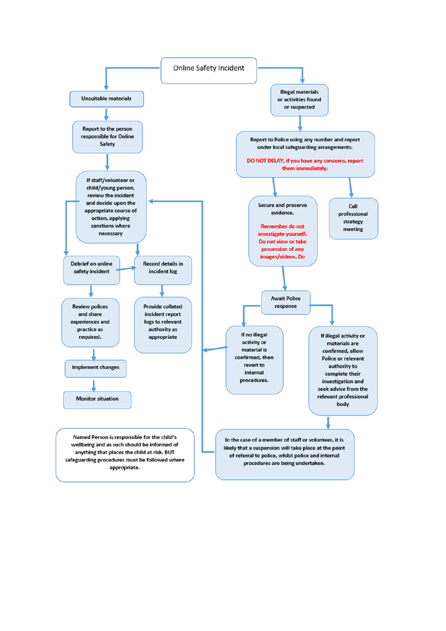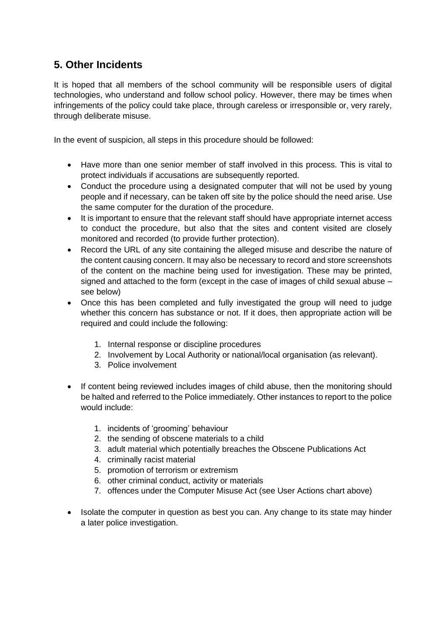## <span id="page-12-0"></span>**5. Other Incidents**

It is hoped that all members of the school community will be responsible users of digital technologies, who understand and follow school policy. However, there may be times when infringements of the policy could take place, through careless or irresponsible or, very rarely, through deliberate misuse.

In the event of suspicion, all steps in this procedure should be followed:

- Have more than one senior member of staff involved in this process. This is vital to protect individuals if accusations are subsequently reported.
- Conduct the procedure using a designated computer that will not be used by young people and if necessary, can be taken off site by the police should the need arise. Use the same computer for the duration of the procedure.
- It is important to ensure that the relevant staff should have appropriate internet access to conduct the procedure, but also that the sites and content visited are closely monitored and recorded (to provide further protection).
- Record the URL of any site containing the alleged misuse and describe the nature of the content causing concern. It may also be necessary to record and store screenshots of the content on the machine being used for investigation. These may be printed, signed and attached to the form (except in the case of images of child sexual abuse – see below)
- Once this has been completed and fully investigated the group will need to judge whether this concern has substance or not. If it does, then appropriate action will be required and could include the following:
	- 1. Internal response or discipline procedures
	- 2. Involvement by Local Authority or national/local organisation (as relevant).
	- 3. Police involvement
- If content being reviewed includes images of child abuse, then the monitoring should be halted and referred to the Police immediately. Other instances to report to the police would include:
	- 1. incidents of 'grooming' behaviour
	- 2. the sending of obscene materials to a child
	- 3. adult material which potentially breaches the Obscene Publications Act
	- 4. criminally racist material
	- 5. promotion of terrorism or extremism
	- 6. other criminal conduct, activity or materials
	- 7. offences under the Computer Misuse Act (see User Actions chart above)
- Isolate the computer in question as best you can. Any change to its state may hinder a later police investigation.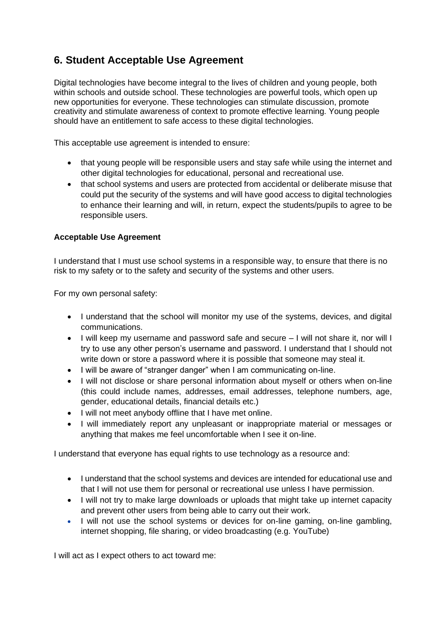## <span id="page-13-0"></span>**6. Student Acceptable Use Agreement**

Digital technologies have become integral to the lives of children and young people, both within schools and outside school. These technologies are powerful tools, which open up new opportunities for everyone. These technologies can stimulate discussion, promote creativity and stimulate awareness of context to promote effective learning. Young people should have an entitlement to safe access to these digital technologies.

This acceptable use agreement is intended to ensure:

- that young people will be responsible users and stay safe while using the internet and other digital technologies for educational, personal and recreational use.
- that school systems and users are protected from accidental or deliberate misuse that could put the security of the systems and will have good access to digital technologies to enhance their learning and will, in return, expect the students/pupils to agree to be responsible users.

#### **Acceptable Use Agreement**

I understand that I must use school systems in a responsible way, to ensure that there is no risk to my safety or to the safety and security of the systems and other users.

For my own personal safety:

- I understand that the school will monitor my use of the systems, devices, and digital communications.
- I will keep my username and password safe and secure I will not share it, nor will I try to use any other person's username and password. I understand that I should not write down or store a password where it is possible that someone may steal it.
- I will be aware of "stranger danger" when I am communicating on-line.
- I will not disclose or share personal information about myself or others when on-line (this could include names, addresses, email addresses, telephone numbers, age, gender, educational details, financial details etc.)
- I will not meet anybody offline that I have met online.
- I will immediately report any unpleasant or inappropriate material or messages or anything that makes me feel uncomfortable when I see it on-line.

I understand that everyone has equal rights to use technology as a resource and:

- I understand that the school systems and devices are intended for educational use and that I will not use them for personal or recreational use unless I have permission.
- I will not try to make large downloads or uploads that might take up internet capacity and prevent other users from being able to carry out their work.
- I will not use the school systems or devices for on-line gaming, on-line gambling, internet shopping, file sharing, or video broadcasting (e.g. YouTube)

I will act as I expect others to act toward me: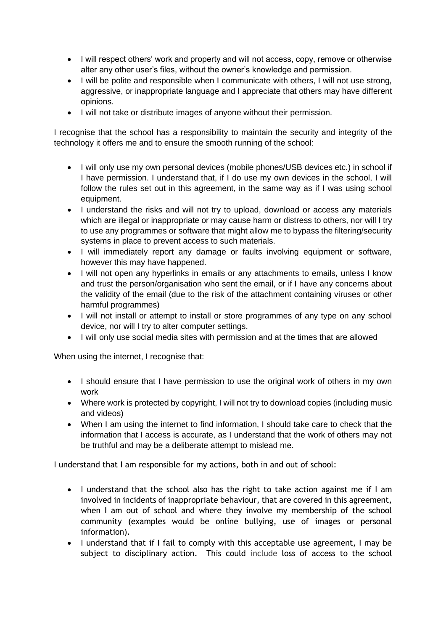- I will respect others' work and property and will not access, copy, remove or otherwise alter any other user's files, without the owner's knowledge and permission.
- I will be polite and responsible when I communicate with others, I will not use strong, aggressive, or inappropriate language and I appreciate that others may have different opinions.
- I will not take or distribute images of anyone without their permission.

I recognise that the school has a responsibility to maintain the security and integrity of the technology it offers me and to ensure the smooth running of the school:

- I will only use my own personal devices (mobile phones/USB devices etc.) in school if I have permission. I understand that, if I do use my own devices in the school, I will follow the rules set out in this agreement, in the same way as if I was using school equipment.
- I understand the risks and will not try to upload, download or access any materials which are illegal or inappropriate or may cause harm or distress to others, nor will I try to use any programmes or software that might allow me to bypass the filtering/security systems in place to prevent access to such materials.
- I will immediately report any damage or faults involving equipment or software, however this may have happened.
- I will not open any hyperlinks in emails or any attachments to emails, unless I know and trust the person/organisation who sent the email, or if I have any concerns about the validity of the email (due to the risk of the attachment containing viruses or other harmful programmes)
- I will not install or attempt to install or store programmes of any type on any school device, nor will I try to alter computer settings.
- I will only use social media sites with permission and at the times that are allowed

When using the internet, I recognise that:

- I should ensure that I have permission to use the original work of others in my own work
- Where work is protected by copyright, I will not try to download copies (including music and videos)
- When I am using the internet to find information, I should take care to check that the information that I access is accurate, as I understand that the work of others may not be truthful and may be a deliberate attempt to mislead me.

I understand that I am responsible for my actions, both in and out of school:

- I understand that the school also has the right to take action against me if I am involved in incidents of inappropriate behaviour, that are covered in this agreement, when I am out of school and where they involve my membership of the school community (examples would be online bullying, use of images or personal information).
- I understand that if I fail to comply with this acceptable use agreement, I may be subject to disciplinary action. This could include loss of access to the school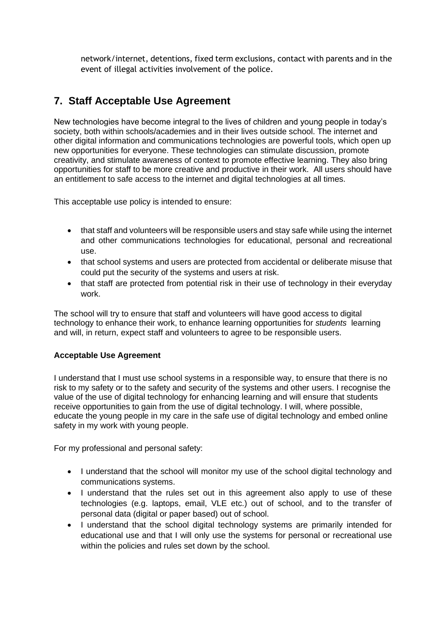network/internet, detentions, fixed term exclusions, contact with parents and in the event of illegal activities involvement of the police.

## <span id="page-15-0"></span>**7. Staff Acceptable Use Agreement**

New technologies have become integral to the lives of children and young people in today's society, both within schools/academies and in their lives outside school. The internet and other digital information and communications technologies are powerful tools, which open up new opportunities for everyone. These technologies can stimulate discussion, promote creativity, and stimulate awareness of context to promote effective learning. They also bring opportunities for staff to be more creative and productive in their work. All users should have an entitlement to safe access to the internet and digital technologies at all times.

This acceptable use policy is intended to ensure:

- that staff and volunteers will be responsible users and stay safe while using the internet and other communications technologies for educational, personal and recreational use.
- that school systems and users are protected from accidental or deliberate misuse that could put the security of the systems and users at risk.
- that staff are protected from potential risk in their use of technology in their everyday work.

The school will try to ensure that staff and volunteers will have good access to digital technology to enhance their work, to enhance learning opportunities for *students* learning and will, in return, expect staff and volunteers to agree to be responsible users.

#### **Acceptable Use Agreement**

I understand that I must use school systems in a responsible way, to ensure that there is no risk to my safety or to the safety and security of the systems and other users. I recognise the value of the use of digital technology for enhancing learning and will ensure that students receive opportunities to gain from the use of digital technology. I will, where possible, educate the young people in my care in the safe use of digital technology and embed online safety in my work with young people.

For my professional and personal safety:

- I understand that the school will monitor my use of the school digital technology and communications systems.
- I understand that the rules set out in this agreement also apply to use of these technologies (e.g. laptops, email, VLE etc.) out of school, and to the transfer of personal data (digital or paper based) out of school.
- I understand that the school digital technology systems are primarily intended for educational use and that I will only use the systems for personal or recreational use within the policies and rules set down by the school.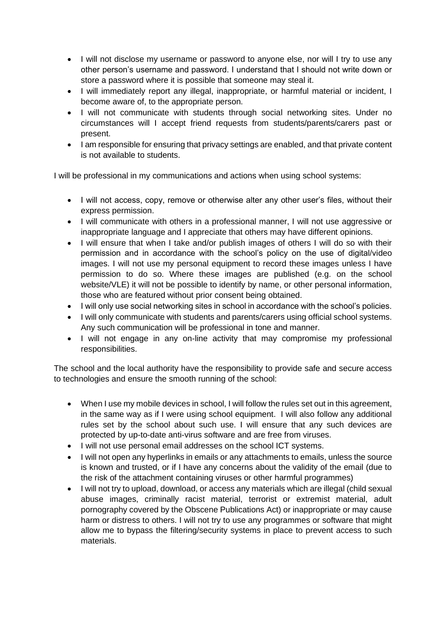- I will not disclose my username or password to anyone else, nor will I try to use any other person's username and password. I understand that I should not write down or store a password where it is possible that someone may steal it.
- I will immediately report any illegal, inappropriate, or harmful material or incident, I become aware of, to the appropriate person.
- I will not communicate with students through social networking sites. Under no circumstances will I accept friend requests from students/parents/carers past or present.
- I am responsible for ensuring that privacy settings are enabled, and that private content is not available to students.

I will be professional in my communications and actions when using school systems:

- I will not access, copy, remove or otherwise alter any other user's files, without their express permission.
- I will communicate with others in a professional manner, I will not use aggressive or inappropriate language and I appreciate that others may have different opinions.
- I will ensure that when I take and/or publish images of others I will do so with their permission and in accordance with the school's policy on the use of digital/video images. I will not use my personal equipment to record these images unless I have permission to do so. Where these images are published (e.g. on the school website/VLE) it will not be possible to identify by name, or other personal information, those who are featured without prior consent being obtained.
- I will only use social networking sites in school in accordance with the school's policies.
- I will only communicate with students and parents/carers using official school systems. Any such communication will be professional in tone and manner.
- I will not engage in any on-line activity that may compromise my professional responsibilities.

The school and the local authority have the responsibility to provide safe and secure access to technologies and ensure the smooth running of the school:

- When I use my mobile devices in school, I will follow the rules set out in this agreement, in the same way as if I were using school equipment. I will also follow any additional rules set by the school about such use. I will ensure that any such devices are protected by up-to-date anti-virus software and are free from viruses.
- I will not use personal email addresses on the school ICT systems.
- I will not open any hyperlinks in emails or any attachments to emails, unless the source is known and trusted, or if I have any concerns about the validity of the email (due to the risk of the attachment containing viruses or other harmful programmes)
- I will not try to upload, download, or access any materials which are illegal (child sexual abuse images, criminally racist material, terrorist or extremist material, adult pornography covered by the Obscene Publications Act) or inappropriate or may cause harm or distress to others. I will not try to use any programmes or software that might allow me to bypass the filtering/security systems in place to prevent access to such materials.